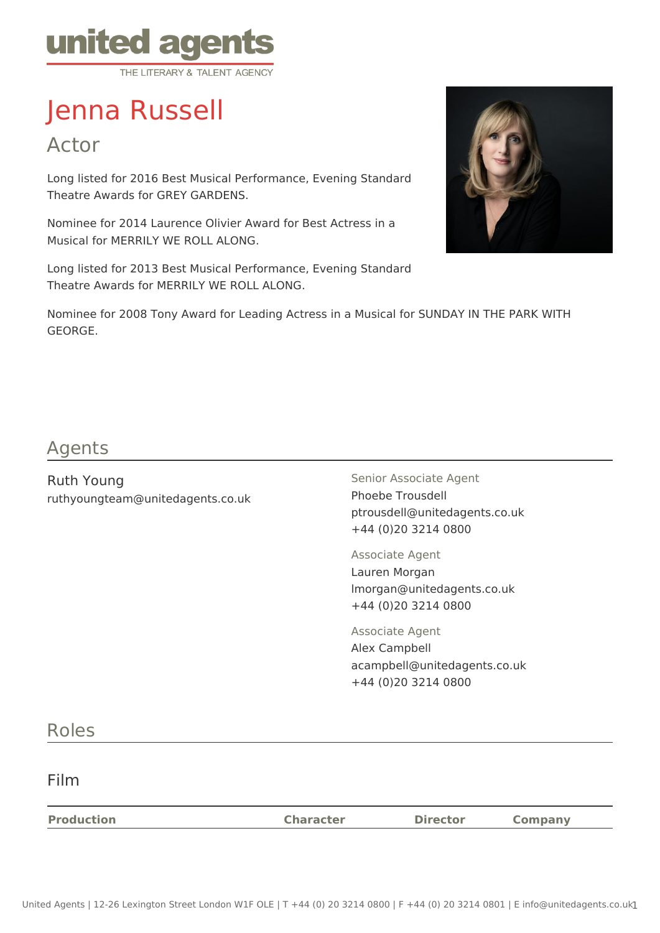

# Jenna Russell

Actor

Long listed for 2016 Best Musical Performance, Evening Standard Theatre Awards for GREY GARDENS.

Nominee for 2014 Laurence Olivier Award for Best Actress in a Musical for MERRILY WE ROLL ALONG.

Long listed for 2013 Best Musical Performance, Evening Standard Theatre Awards for MERRILY WE ROLL ALONG.



Nominee for 2008 Tony Award for Leading Actress in a Musical for SUNDAY IN THE PARK WITH GEORGE.

# Agents

Ruth Young ruthyoungteam@unitedagents.co.uk Senior Associate Agent Phoebe Trousdell ptrousdell@unitedagents.co.uk +44 (0)20 3214 0800

Associate Agent Lauren Morgan lmorgan@unitedagents.co.uk +44 (0)20 3214 0800

Associate Agent Alex Campbell acampbell@unitedagents.co.uk +44 (0)20 3214 0800

## Roles

Film

| <b>Production</b> | <b>Character</b> | <b>Director</b> | Company |
|-------------------|------------------|-----------------|---------|
|                   |                  |                 |         |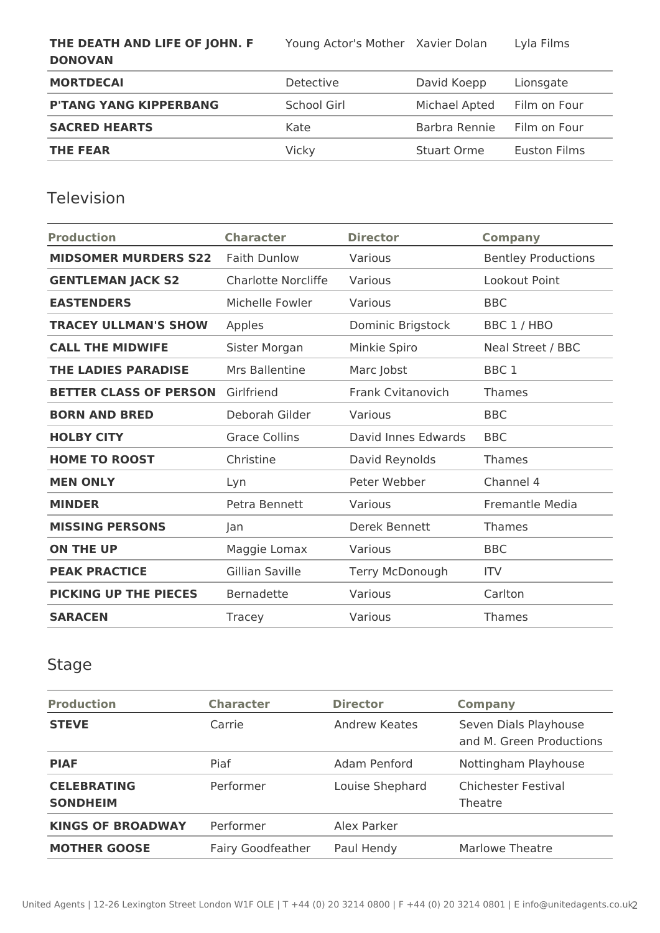**THE DEATH AND LIFE OF JOHN. F DONOVAN**

Young Actor's Mother Xavier Dolan Lyla Films

**MORTDECAI** Detective Detective David Koepp Lionsgate P'TANG YANG KIPPERBANG School Girl Michael Apted Film on Four **SACRED HEARTS Kate** Barbra Rennie Film on Four **THE FEAR** Vicky Stuart Orme Euston Films

#### Television

| <b>Production</b>             | <b>Character</b>       | <b>Director</b>          | <b>Company</b>             |
|-------------------------------|------------------------|--------------------------|----------------------------|
| <b>MIDSOMER MURDERS S22</b>   | <b>Faith Dunlow</b>    | Various                  | <b>Bentley Productions</b> |
| <b>GENTLEMAN JACK S2</b>      | Charlotte Norcliffe    | Various                  | Lookout Point              |
| <b>EASTENDERS</b>             | Michelle Fowler        | Various                  | <b>BBC</b>                 |
| <b>TRACEY ULLMAN'S SHOW</b>   | Apples                 | Dominic Brigstock        | BBC 1 / HBO                |
| <b>CALL THE MIDWIFE</b>       | Sister Morgan          | Minkie Spiro             | Neal Street / BBC          |
| <b>THE LADIES PARADISE</b>    | Mrs Ballentine         | Marc Jobst               | BBC <sub>1</sub>           |
| <b>BETTER CLASS OF PERSON</b> | Girlfriend             | <b>Frank Cvitanovich</b> | Thames                     |
| <b>BORN AND BRED</b>          | Deborah Gilder         | Various                  | <b>BBC</b>                 |
| <b>HOLBY CITY</b>             | <b>Grace Collins</b>   | David Innes Edwards      | <b>BBC</b>                 |
| <b>HOME TO ROOST</b>          | Christine              | David Reynolds           | <b>Thames</b>              |
| <b>MEN ONLY</b>               | Lyn                    | Peter Webber             | Channel 4                  |
| <b>MINDER</b>                 | Petra Bennett          | Various                  | Fremantle Media            |
| <b>MISSING PERSONS</b>        | Jan                    | Derek Bennett            | Thames                     |
| <b>ON THE UP</b>              | Maggie Lomax           | Various                  | <b>BBC</b>                 |
| <b>PEAK PRACTICE</b>          | <b>Gillian Saville</b> | Terry McDonough          | <b>ITV</b>                 |
| <b>PICKING UP THE PIECES</b>  | Bernadette             | Various                  | Carlton                    |
| <b>SARACEN</b>                | Tracey                 | Various                  | Thames                     |

#### Stage

| <b>Production</b>                     | <b>Character</b>         | <b>Director</b>      | <b>Company</b>                                    |
|---------------------------------------|--------------------------|----------------------|---------------------------------------------------|
| <b>STEVE</b>                          | Carrie                   | <b>Andrew Keates</b> | Seven Dials Playhouse<br>and M. Green Productions |
| <b>PIAF</b>                           | Piaf                     | Adam Penford         | Nottingham Playhouse                              |
| <b>CELEBRATING</b><br><b>SONDHEIM</b> | Performer                | Louise Shephard      | <b>Chichester Festival</b><br>Theatre             |
| <b>KINGS OF BROADWAY</b>              | Performer                | Alex Parker          |                                                   |
| <b>MOTHER GOOSE</b>                   | <b>Fairy Goodfeather</b> | Paul Hendy           | Marlowe Theatre                                   |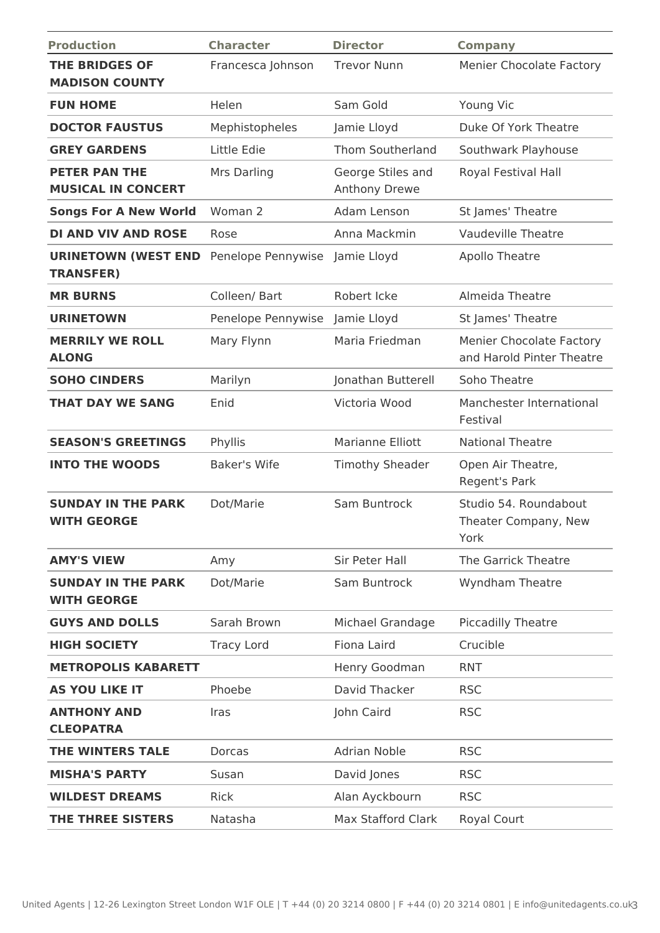| <b>Production</b>                                 | <b>Character</b>    | <b>Director</b>                    | <b>Company</b>                                               |
|---------------------------------------------------|---------------------|------------------------------------|--------------------------------------------------------------|
| <b>THE BRIDGES OF</b><br><b>MADISON COUNTY</b>    | Francesca Johnson   | <b>Trevor Nunn</b>                 | <b>Menier Chocolate Factory</b>                              |
| <b>FUN HOME</b>                                   | Helen               | Sam Gold                           | Young Vic                                                    |
| <b>DOCTOR FAUSTUS</b>                             | Mephistopheles      | Jamie Lloyd                        | Duke Of York Theatre                                         |
| <b>GREY GARDENS</b>                               | Little Edie         | <b>Thom Southerland</b>            | Southwark Playhouse                                          |
| <b>PETER PAN THE</b><br><b>MUSICAL IN CONCERT</b> | Mrs Darling         | George Stiles and<br>Anthony Drewe | Royal Festival Hall                                          |
| <b>Songs For A New World</b>                      | Woman 2             | Adam Lenson                        | St James' Theatre                                            |
| <b>DI AND VIV AND ROSE</b>                        | Rose                | Anna Mackmin                       | <b>Vaudeville Theatre</b>                                    |
| <b>URINETOWN (WEST END</b><br><b>TRANSFER)</b>    | Penelope Pennywise  | Jamie Lloyd                        | <b>Apollo Theatre</b>                                        |
| <b>MR BURNS</b>                                   | Colleen/ Bart       | Robert Icke                        | Almeida Theatre                                              |
| <b>URINETOWN</b>                                  | Penelope Pennywise  | Jamie Lloyd                        | St James' Theatre                                            |
| <b>MERRILY WE ROLL</b><br><b>ALONG</b>            | Mary Flynn          | Maria Friedman                     | <b>Menier Chocolate Factory</b><br>and Harold Pinter Theatre |
| <b>SOHO CINDERS</b>                               | Marilyn             | Jonathan Butterell                 | Soho Theatre                                                 |
| <b>THAT DAY WE SANG</b>                           | Enid                | Victoria Wood                      | Manchester International<br>Festival                         |
| <b>SEASON'S GREETINGS</b>                         | Phyllis             | Marianne Elliott                   | <b>National Theatre</b>                                      |
| <b>INTO THE WOODS</b>                             | <b>Baker's Wife</b> | <b>Timothy Sheader</b>             | Open Air Theatre,<br>Regent's Park                           |
| <b>SUNDAY IN THE PARK</b><br><b>WITH GEORGE</b>   | Dot/Marie           | Sam Buntrock                       | Studio 54. Roundabout<br>Theater Company, New<br>York        |
| <b>AMY'S VIEW</b>                                 | Amy                 | Sir Peter Hall                     | The Garrick Theatre                                          |
| <b>SUNDAY IN THE PARK</b><br><b>WITH GEORGE</b>   | Dot/Marie           | Sam Buntrock                       | Wyndham Theatre                                              |
| <b>GUYS AND DOLLS</b>                             | Sarah Brown         | Michael Grandage                   | Piccadilly Theatre                                           |
| <b>HIGH SOCIETY</b>                               | <b>Tracy Lord</b>   | Fiona Laird                        | Crucible                                                     |
| <b>METROPOLIS KABARETT</b>                        |                     | Henry Goodman                      | <b>RNT</b>                                                   |
| <b>AS YOU LIKE IT</b>                             | Phoebe              | David Thacker                      | <b>RSC</b>                                                   |
| <b>ANTHONY AND</b><br><b>CLEOPATRA</b>            | Iras                | John Caird                         | <b>RSC</b>                                                   |
| <b>THE WINTERS TALE</b>                           | Dorcas              | <b>Adrian Noble</b>                | <b>RSC</b>                                                   |
| <b>MISHA'S PARTY</b>                              | Susan               | David Jones                        | <b>RSC</b>                                                   |
| <b>WILDEST DREAMS</b>                             | Rick                | Alan Ayckbourn                     | <b>RSC</b>                                                   |
| THE THREE SISTERS                                 | Natasha             | <b>Max Stafford Clark</b>          | Royal Court                                                  |